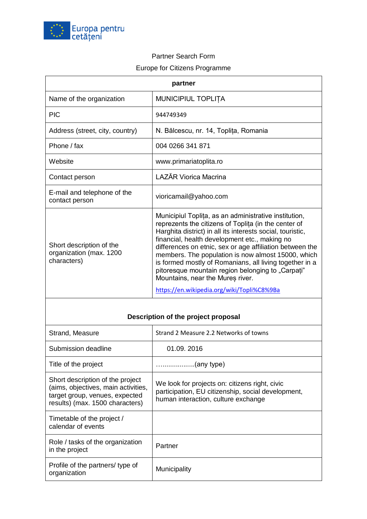

## Partner Search Form

## Europe for Citizens Programme

| partner                                                                                                                                      |                                                                                                                                                                                                                                                                                                                                                                                                                                                                                                                                                  |
|----------------------------------------------------------------------------------------------------------------------------------------------|--------------------------------------------------------------------------------------------------------------------------------------------------------------------------------------------------------------------------------------------------------------------------------------------------------------------------------------------------------------------------------------------------------------------------------------------------------------------------------------------------------------------------------------------------|
| Name of the organization                                                                                                                     | MUNICIPIUL TOPLIȚA                                                                                                                                                                                                                                                                                                                                                                                                                                                                                                                               |
| <b>PIC</b>                                                                                                                                   | 944749349                                                                                                                                                                                                                                                                                                                                                                                                                                                                                                                                        |
| Address (street, city, country)                                                                                                              | N. Bălcescu, nr. 14, Toplița, Romania                                                                                                                                                                                                                                                                                                                                                                                                                                                                                                            |
| Phone / fax                                                                                                                                  | 004 0266 341 871                                                                                                                                                                                                                                                                                                                                                                                                                                                                                                                                 |
| Website                                                                                                                                      | www.primariatoplita.ro                                                                                                                                                                                                                                                                                                                                                                                                                                                                                                                           |
| Contact person                                                                                                                               | <b>LAZĂR Viorica Macrina</b>                                                                                                                                                                                                                                                                                                                                                                                                                                                                                                                     |
| E-mail and telephone of the<br>contact person                                                                                                | vioricamail@yahoo.com                                                                                                                                                                                                                                                                                                                                                                                                                                                                                                                            |
| Short description of the<br>organization (max. 1200<br>characters)                                                                           | Municipiul Toplita, as an administrative institution,<br>reprezents the citizens of Toplita (in the center of<br>Harghita district) in all its interests social, touristic,<br>financial, health development etc., making no<br>differences on etnic, sex or age affiliation between the<br>members. The population is now almost 15000, which<br>is formed mostly of Romanians, all living together in a<br>pitoresque mountain region belonging to "Carpati"<br>Mountains, near the Mures river.<br>https://en.wikipedia.org/wiki/Topli%C8%9Ba |
|                                                                                                                                              |                                                                                                                                                                                                                                                                                                                                                                                                                                                                                                                                                  |
| Description of the project proposal                                                                                                          |                                                                                                                                                                                                                                                                                                                                                                                                                                                                                                                                                  |
| Strand, Measure                                                                                                                              | Strand 2 Measure 2.2 Networks of towns                                                                                                                                                                                                                                                                                                                                                                                                                                                                                                           |
| Submission deadline                                                                                                                          | 01.09. 2016                                                                                                                                                                                                                                                                                                                                                                                                                                                                                                                                      |
| Title of the project                                                                                                                         | (any type)                                                                                                                                                                                                                                                                                                                                                                                                                                                                                                                                       |
| Short description of the project<br>(aims, objectives, main activities,<br>target group, venues, expected<br>results) (max. 1500 characters) | We look for projects on: citizens right, civic<br>participation, EU citizenship, social development,<br>human interaction, culture exchange                                                                                                                                                                                                                                                                                                                                                                                                      |
| Timetable of the project /<br>calendar of events                                                                                             |                                                                                                                                                                                                                                                                                                                                                                                                                                                                                                                                                  |
| Role / tasks of the organization<br>in the project                                                                                           | Partner                                                                                                                                                                                                                                                                                                                                                                                                                                                                                                                                          |
| Profile of the partners/ type of<br>organization                                                                                             | Municipality                                                                                                                                                                                                                                                                                                                                                                                                                                                                                                                                     |